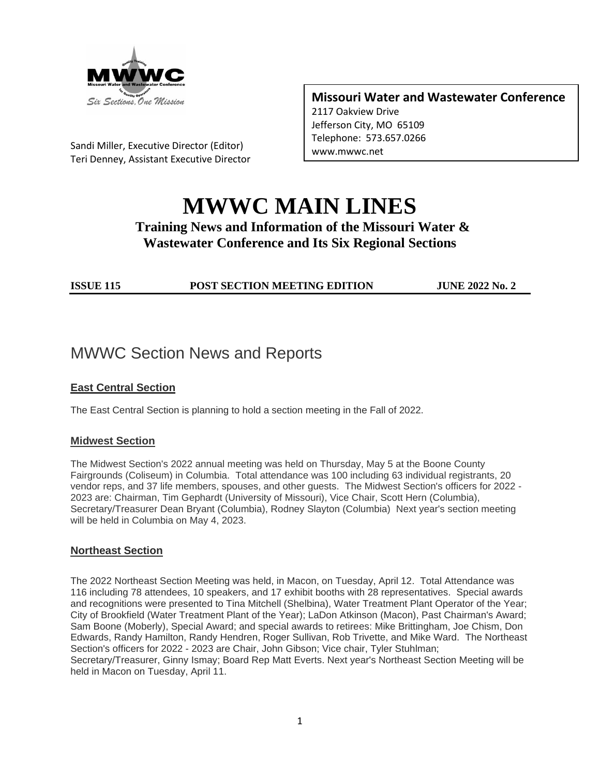

Sandi Miller, Executive Director (Editor) Teri Denney, Assistant Executive Director **Missouri Water and Wastewater Conference**

2117 Oakview Drive Jefferson City, MO 65109 Telephone: 573.657.0266 www.mwwc.net

## **MWWC MAIN LINES Training News and Information of the Missouri Water & Wastewater Conference and Its Six Regional Sections**

**ISSUE 115 POST SECTION MEETING EDITION JUNE 2022 No. 2**

### MWWC Section News and Reports

#### **East Central Section**

The East Central Section is planning to hold a section meeting in the Fall of 2022.

#### **Midwest Section**

The Midwest Section's 2022 annual meeting was held on Thursday, May 5 at the Boone County Fairgrounds (Coliseum) in Columbia. Total attendance was 100 including 63 individual registrants, 20 vendor reps, and 37 life members, spouses, and other guests. The Midwest Section's officers for 2022 - 2023 are: Chairman, Tim Gephardt (University of Missouri), Vice Chair, Scott Hern (Columbia), Secretary/Treasurer Dean Bryant (Columbia), Rodney Slayton (Columbia) Next year's section meeting will be held in Columbia on May 4, 2023.

#### **Northeast Section**

The 2022 Northeast Section Meeting was held, in Macon, on Tuesday, April 12. Total Attendance was 116 including 78 attendees, 10 speakers, and 17 exhibit booths with 28 representatives. Special awards and recognitions were presented to Tina Mitchell (Shelbina), Water Treatment Plant Operator of the Year; City of Brookfield (Water Treatment Plant of the Year); LaDon Atkinson (Macon), Past Chairman's Award; Sam Boone (Moberly), Special Award; and special awards to retirees: Mike Brittingham, Joe Chism, Don Edwards, Randy Hamilton, Randy Hendren, Roger Sullivan, Rob Trivette, and Mike Ward. The Northeast Section's officers for 2022 - 2023 are Chair, John Gibson; Vice chair, Tyler Stuhlman; Secretary/Treasurer, Ginny Ismay; Board Rep Matt Everts. Next year's Northeast Section Meeting will be held in Macon on Tuesday, April 11.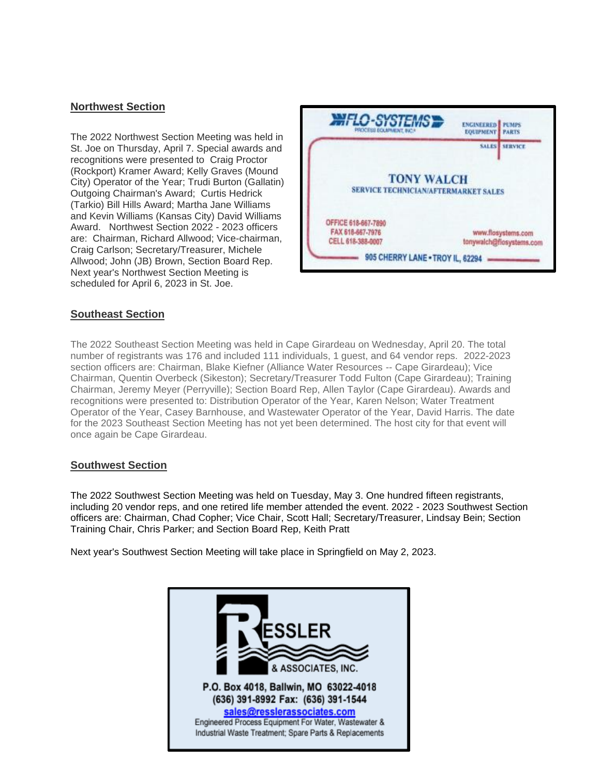#### **Northwest Section**

The 2022 Northwest Section Meeting was held in St. Joe on Thursday, April 7. Special awards and recognitions were presented to Craig Proctor (Rockport) Kramer Award; Kelly Graves (Mound City) Operator of the Year; Trudi Burton (Gallatin) Outgoing Chairman's Award; Curtis Hedrick (Tarkio) Bill Hills Award; Martha Jane Williams and Kevin Williams (Kansas City) David Williams Award. Northwest Section 2022 - 2023 officers are: Chairman, Richard Allwood; Vice-chairman, Craig Carlson; Secretary/Treasurer, Michele Allwood; John (JB) Brown, Section Board Rep. Next year's Northwest Section Meeting is scheduled for April 6, 2023 in St. Joe.



#### **Southeast Section**

The 2022 Southeast Section Meeting was held in Cape Girardeau on Wednesday, April 20. The total number of registrants was 176 and included 111 individuals, 1 guest, and 64 vendor reps. 2022-2023 section officers are: Chairman, Blake Kiefner (Alliance Water Resources -- Cape Girardeau); Vice Chairman, Quentin Overbeck (Sikeston); Secretary/Treasurer Todd Fulton (Cape Girardeau); Training Chairman, Jeremy Meyer (Perryville); Section Board Rep, Allen Taylor (Cape Girardeau). Awards and recognitions were presented to: Distribution Operator of the Year, Karen Nelson; Water Treatment Operator of the Year, Casey Barnhouse, and Wastewater Operator of the Year, David Harris. The date for the 2023 Southeast Section Meeting has not yet been determined. The host city for that event will once again be Cape Girardeau.

#### **Southwest Section**

The 2022 Southwest Section Meeting was held on Tuesday, May 3. One hundred fifteen registrants, including 20 vendor reps, and one retired life member attended the event. 2022 - 2023 Southwest Section officers are: Chairman, Chad Copher; Vice Chair, Scott Hall; Secretary/Treasurer, Lindsay Bein; Section Training Chair, Chris Parker; and Section Board Rep, Keith Pratt

Next year's Southwest Section Meeting will take place in Springfield on May 2, 2023.

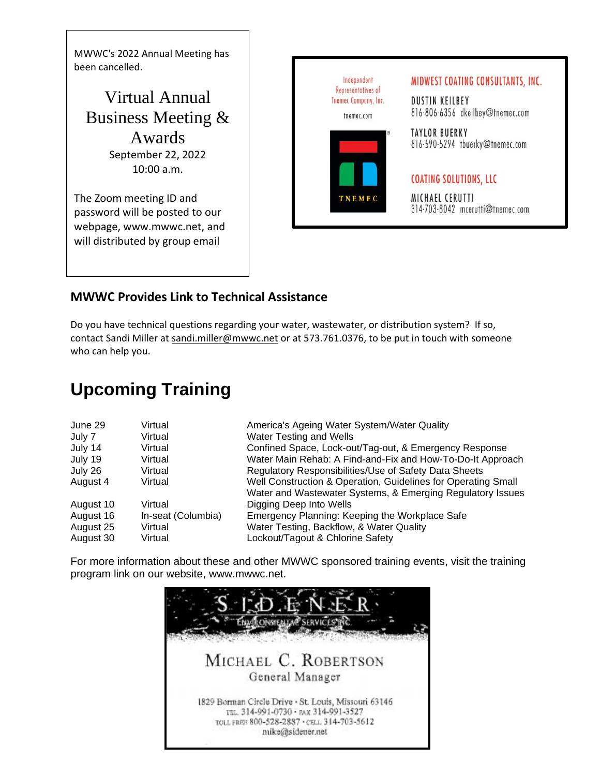MWWC's 2022 Annual Meeting has been cancelled.

Virtual Annual Business Meeting & Awards September 22, 2022 10:00 a.m.

The Zoom meeting ID and password will be posted to our webpage, www.mwwc.net, and will distributed by group email

Independent MIDWEST COATING CONSULTANTS, INC. Representatives of Tnemec Company, Inc. DUSTIN KEILBEY 816-806-6356 dkeilbey@tnemec.com tnemec.com **TAYLOR BUERKY** 816-590-5294 tbuerky@tnemec.com **COATING SOLUTIONS, LLC** MICHAEL CERUTTI 314-703-8042 mcerutti@tnemec.com

### **MWWC Provides Link to Technical Assistance**

Do you have technical questions regarding your water, wastewater, or distribution system? If so, contact Sandi Miller at [sandi.miller@mwwc.net](mailto:sandi.miller@mwwc.net) or at 573.761.0376, to be put in touch with someone who can help you.

## **Upcoming Training**

| June 29   | Virtual            | America's Ageing Water System/Water Quality                   |
|-----------|--------------------|---------------------------------------------------------------|
| July 7    | Virtual            | <b>Water Testing and Wells</b>                                |
| July 14   | Virtual            | Confined Space, Lock-out/Tag-out, & Emergency Response        |
| July 19   | Virtual            | Water Main Rehab: A Find-and-Fix and How-To-Do-It Approach    |
| July 26   | Virtual            | Regulatory Responsibilities/Use of Safety Data Sheets         |
| August 4  | Virtual            | Well Construction & Operation, Guidelines for Operating Small |
|           |                    | Water and Wastewater Systems, & Emerging Regulatory Issues    |
| August 10 | Virtual            | Digging Deep Into Wells                                       |
| August 16 | In-seat (Columbia) | Emergency Planning: Keeping the Workplace Safe                |
| August 25 | Virtual            | Water Testing, Backflow, & Water Quality                      |
| August 30 | Virtual            | Lockout/Tagout & Chlorine Safety                              |

For more information about these and other MWWC sponsored training events, visit the training program link on our website, www.mwwc.net.